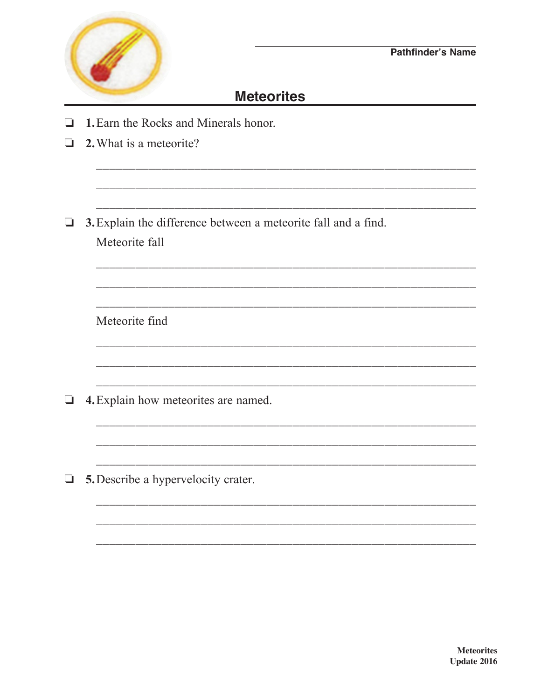

## **Meteorites**

- $\Box$  1. Earn the Rocks and Minerals honor.
- $\Box$ 2. What is a meteorite?
- $\Box$  3. Explain the difference between a meteorite fall and a find. Meteorite fall

Meteorite find

- $\Box$  4. Explain how meteorites are named.
- $\Box$  5. Describe a hypervelocity crater.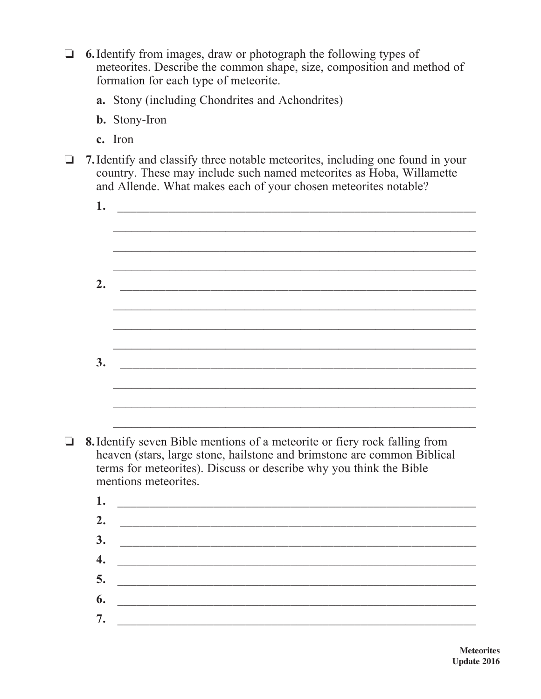$\Box$  6. Identify from images, draw or photograph the following types of meteorites. Describe the common shape, size, composition and method of formation for each type of meteorite.

- a. Stony (including Chondrites and Achondrites)
- **b.** Stony-Iron
- **c.** Iron
- $\Box$  **7.** Identify and classify three notable meteorites, including one found in your country. These may include such named meteorites as Hoba, Willamette and Allende. What makes each of your chosen meteorites notable?

| 1. |                                                                                                                                                                                                                                                     |  |  |  |
|----|-----------------------------------------------------------------------------------------------------------------------------------------------------------------------------------------------------------------------------------------------------|--|--|--|
|    |                                                                                                                                                                                                                                                     |  |  |  |
|    |                                                                                                                                                                                                                                                     |  |  |  |
|    |                                                                                                                                                                                                                                                     |  |  |  |
| 2. | <u> 1980 - Johann Barbara, martxa alemaniar a</u>                                                                                                                                                                                                   |  |  |  |
|    |                                                                                                                                                                                                                                                     |  |  |  |
|    |                                                                                                                                                                                                                                                     |  |  |  |
|    |                                                                                                                                                                                                                                                     |  |  |  |
| 3. | <u> 1980 - Johann Barn, mars and de British Barn, mars and de British Barn, mars and de British Barn, mars and d</u>                                                                                                                                |  |  |  |
|    |                                                                                                                                                                                                                                                     |  |  |  |
|    |                                                                                                                                                                                                                                                     |  |  |  |
|    |                                                                                                                                                                                                                                                     |  |  |  |
|    | 8. Identify seven Bible mentions of a meteorite or fiery rock falling from<br>heaven (stars, large stone, hailstone and brimstone are common Biblical<br>terms for meteorites). Discuss or describe why you think the Bible<br>mentions meteorites. |  |  |  |
|    |                                                                                                                                                                                                                                                     |  |  |  |

| 2. $\qquad \qquad$                                                                                                    |  |  |
|-----------------------------------------------------------------------------------------------------------------------|--|--|
|                                                                                                                       |  |  |
|                                                                                                                       |  |  |
| <u> 1989 - Johann Harry Harry Harry Harry Harry Harry Harry Harry Harry Harry Harry Harry Harry Harry Harry Harry</u> |  |  |
|                                                                                                                       |  |  |
| <u> 1980 - Jan Samuel Barbara, martin d</u>                                                                           |  |  |
|                                                                                                                       |  |  |
|                                                                                                                       |  |  |
| $\overline{\mathbf{5}}$ .                                                                                             |  |  |
|                                                                                                                       |  |  |
| <u> 1980 - Jan James James Barbara, president e</u>                                                                   |  |  |
|                                                                                                                       |  |  |
|                                                                                                                       |  |  |
|                                                                                                                       |  |  |
|                                                                                                                       |  |  |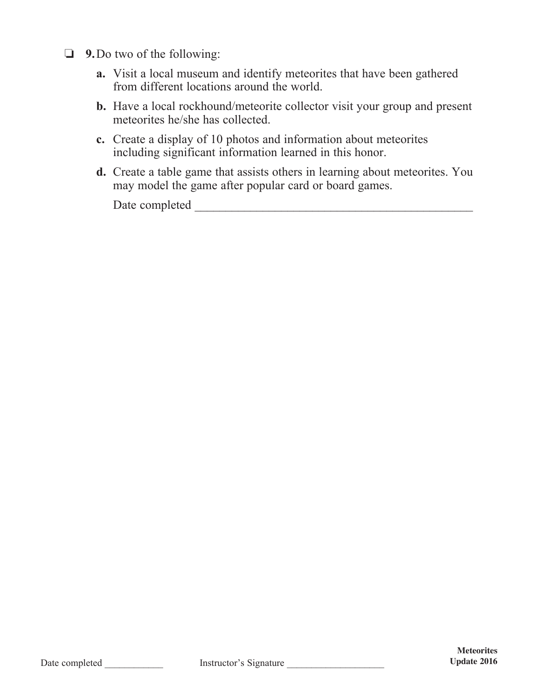- **9.** Do two of the following:
	- **a.** Visit a local museum and identify meteorites that have been gathered from different locations around the world.
	- **b.** Have a local rockhound/meteorite collector visit your group and present meteorites he/she has collected.
- **c.** Create a display of 10 photos and information about meteorites including significant information learned in this honor.
	- **d.** Create a table game that assists others in learning about meteorites. You may model the game after popular card or board games.

Date completed \_\_\_\_\_\_\_\_\_\_\_\_\_\_\_\_\_\_\_\_\_\_\_\_\_\_\_\_\_\_\_\_\_\_\_\_\_\_\_\_\_\_\_\_\_